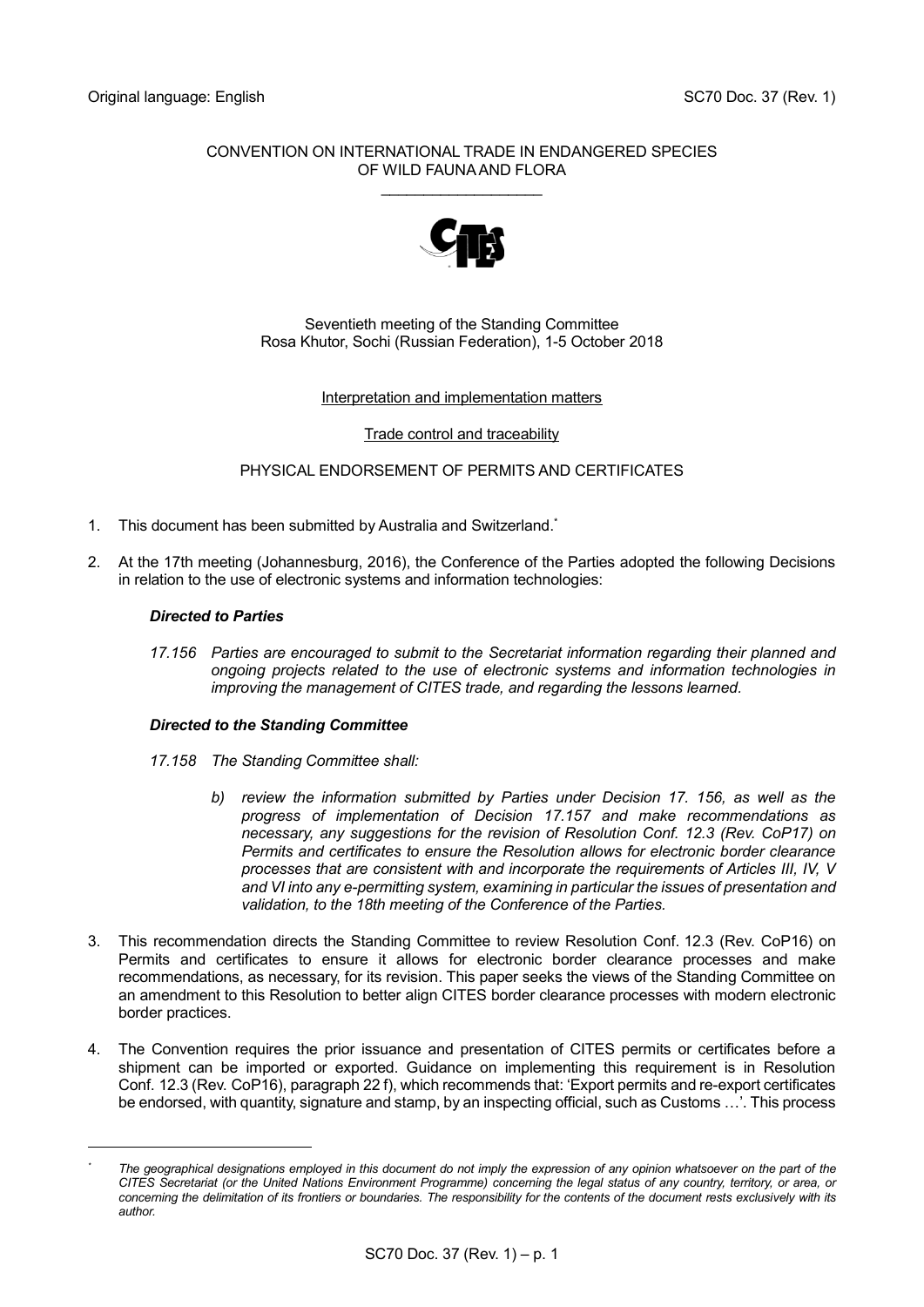#### CONVENTION ON INTERNATIONAL TRADE IN ENDANGERED SPECIES OF WILD FAUNA AND FLORA

\_\_\_\_\_\_\_\_\_\_\_\_\_\_\_\_\_\_\_



#### Seventieth meeting of the Standing Committee Rosa Khutor, Sochi (Russian Federation), 1-5 October 2018

#### Interpretation and implementation matters

#### Trade control and traceability

#### PHYSICAL ENDORSEMENT OF PERMITS AND CERTIFICATES

- 1. This document has been submitted by Australia and Switzerland. \*
- 2. At the 17th meeting (Johannesburg, 2016), the Conference of the Parties adopted the following Decisions in relation to the use of electronic systems and information technologies:

#### *Directed to Parties*

l

*17.156 Parties are encouraged to submit to the Secretariat information regarding their planned and ongoing projects related to the use of electronic systems and information technologies in improving the management of CITES trade, and regarding the lessons learned.*

#### *Directed to the Standing Committee*

- *17.158 The Standing Committee shall:*
	- *b) review the information submitted by Parties under Decision 17. 156, as well as the progress of implementation of Decision 17.157 and make recommendations as necessary, any suggestions for the revision of Resolution Conf. 12.3 (Rev. CoP17) on Permits and certificates to ensure the Resolution allows for electronic border clearance processes that are consistent with and incorporate the requirements of Articles III, IV, V and VI into any e-permitting system, examining in particular the issues of presentation and validation, to the 18th meeting of the Conference of the Parties.*
- 3. This recommendation directs the Standing Committee to review Resolution Conf. 12.3 (Rev. CoP16) on Permits and certificates to ensure it allows for electronic border clearance processes and make recommendations, as necessary, for its revision. This paper seeks the views of the Standing Committee on an amendment to this Resolution to better align CITES border clearance processes with modern electronic border practices.
- 4. The Convention requires the prior issuance and presentation of CITES permits or certificates before a shipment can be imported or exported. Guidance on implementing this requirement is in Resolution Conf. 12.3 (Rev. CoP16), paragraph 22 f), which recommends that: 'Export permits and re-export certificates be endorsed, with quantity, signature and stamp, by an inspecting official, such as Customs …'. This process

The geographical designations employed in this document do not imply the expression of any opinion whatsoever on the part of the *CITES Secretariat (or the United Nations Environment Programme) concerning the legal status of any country, territory, or area, or concerning the delimitation of its frontiers or boundaries. The responsibility for the contents of the document rests exclusively with its author.*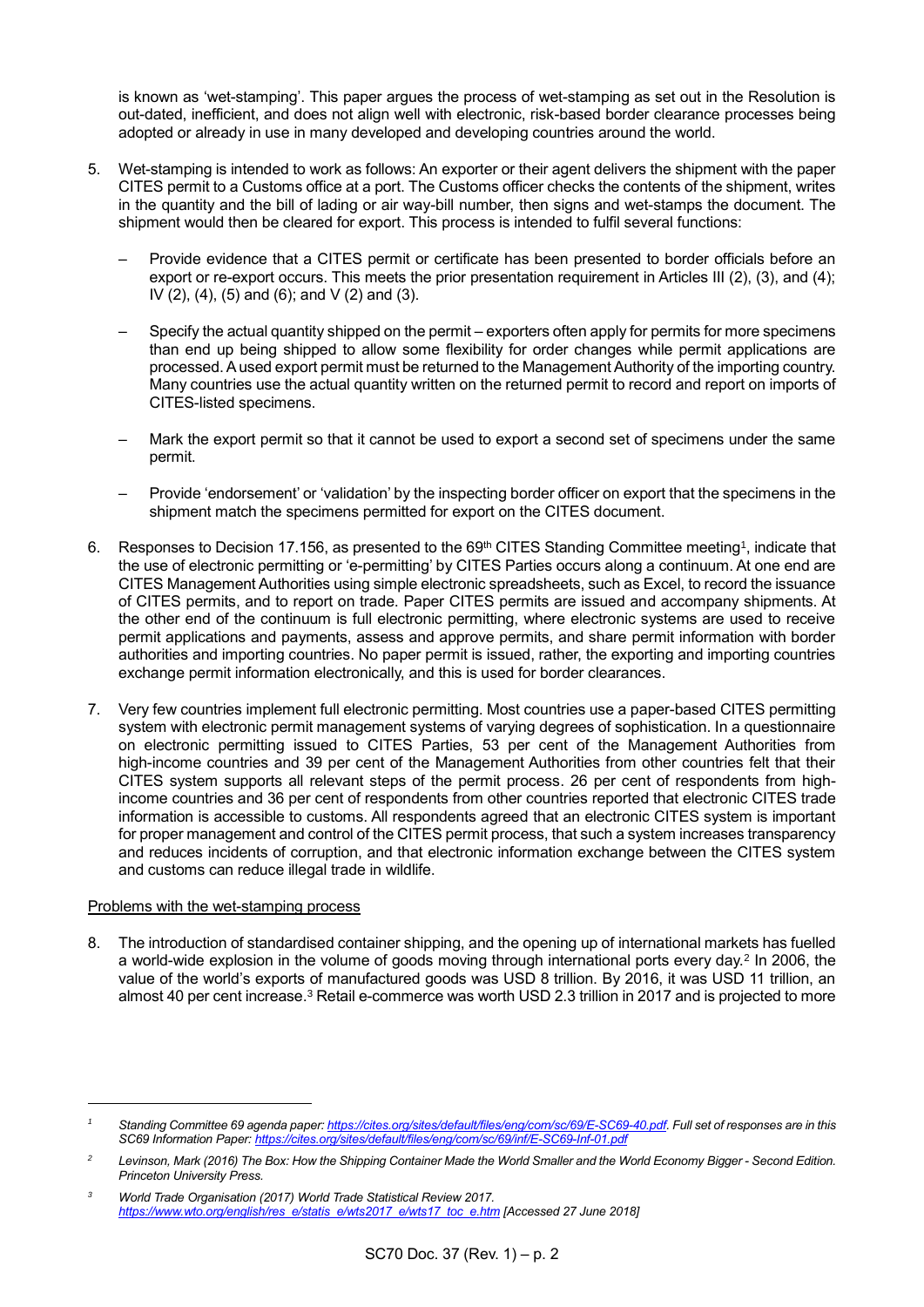is known as 'wet-stamping'. This paper argues the process of wet-stamping as set out in the Resolution is out-dated, inefficient, and does not align well with electronic, risk-based border clearance processes being adopted or already in use in many developed and developing countries around the world.

- 5. Wet-stamping is intended to work as follows: An exporter or their agent delivers the shipment with the paper CITES permit to a Customs office at a port. The Customs officer checks the contents of the shipment, writes in the quantity and the bill of lading or air way-bill number, then signs and wet-stamps the document. The shipment would then be cleared for export. This process is intended to fulfil several functions:
	- Provide evidence that a CITES permit or certificate has been presented to border officials before an export or re-export occurs. This meets the prior presentation requirement in Articles III (2), (3), and (4); IV (2), (4), (5) and (6); and V (2) and (3).
	- Specify the actual quantity shipped on the permit exporters often apply for permits for more specimens than end up being shipped to allow some flexibility for order changes while permit applications are processed. A used export permit must be returned to the Management Authority of the importing country. Many countries use the actual quantity written on the returned permit to record and report on imports of CITES-listed specimens.
	- Mark the export permit so that it cannot be used to export a second set of specimens under the same permit.
	- Provide 'endorsement' or 'validation' by the inspecting border officer on export that the specimens in the shipment match the specimens permitted for export on the CITES document.
- 6. Responses to Decision 17.156, as presented to the 69<sup>th</sup> CITES Standing Committee meeting<sup>1</sup>, indicate that the use of electronic permitting or 'e-permitting' by CITES Parties occurs along a continuum. At one end are CITES Management Authorities using simple electronic spreadsheets, such as Excel, to record the issuance of CITES permits, and to report on trade. Paper CITES permits are issued and accompany shipments. At the other end of the continuum is full electronic permitting, where electronic systems are used to receive permit applications and payments, assess and approve permits, and share permit information with border authorities and importing countries. No paper permit is issued, rather, the exporting and importing countries exchange permit information electronically, and this is used for border clearances.
- 7. Very few countries implement full electronic permitting. Most countries use a paper-based CITES permitting system with electronic permit management systems of varying degrees of sophistication. In a questionnaire on electronic permitting issued to CITES Parties, 53 per cent of the Management Authorities from high-income countries and 39 per cent of the Management Authorities from other countries felt that their CITES system supports all relevant steps of the permit process. 26 per cent of respondents from highincome countries and 36 per cent of respondents from other countries reported that electronic CITES trade information is accessible to customs. All respondents agreed that an electronic CITES system is important for proper management and control of the CITES permit process, that such a system increases transparency and reduces incidents of corruption, and that electronic information exchange between the CITES system and customs can reduce illegal trade in wildlife.

#### Problems with the wet-stamping process

l

8. The introduction of standardised container shipping, and the opening up of international markets has fuelled a world-wide explosion in the volume of goods moving through international ports every day.<sup>2</sup> In 2006, the value of the world's exports of manufactured goods was USD 8 trillion. By 2016, it was USD 11 trillion, an almost 40 per cent increase.<sup>3</sup> Retail e-commerce was worth USD 2.3 trillion in 2017 and is projected to more

<sup>&</sup>lt;sup>1</sup> Standing Committee 69 agenda paper[: https://cites.org/sites/default/files/eng/com/sc/69/E-SC69-40.pdf.](https://cites.org/sites/default/files/eng/com/sc/69/E-SC69-40.pdf) Full set of responses are in this *SC69 Information Paper[: https://cites.org/sites/default/files/eng/com/sc/69/inf/E-SC69-Inf-01.pdf](https://cites.org/sites/default/files/eng/com/sc/69/inf/E-SC69-Inf-01.pdf)*

*<sup>2</sup> Levinson, Mark (2016) The Box: How the Shipping Container Made the World Smaller and the World Economy Bigger - Second Edition. Princeton University Press.* 

*<sup>3</sup> World Trade Organisation (2017) World Trade Statistical Review 2017. [https://www.wto.org/english/res\\_e/statis\\_e/wts2017\\_e/wts17\\_toc\\_e.htm](https://www.wto.org/english/res_e/statis_e/wts2017_e/wts17_toc_e.htm) [Accessed 27 June 2018]*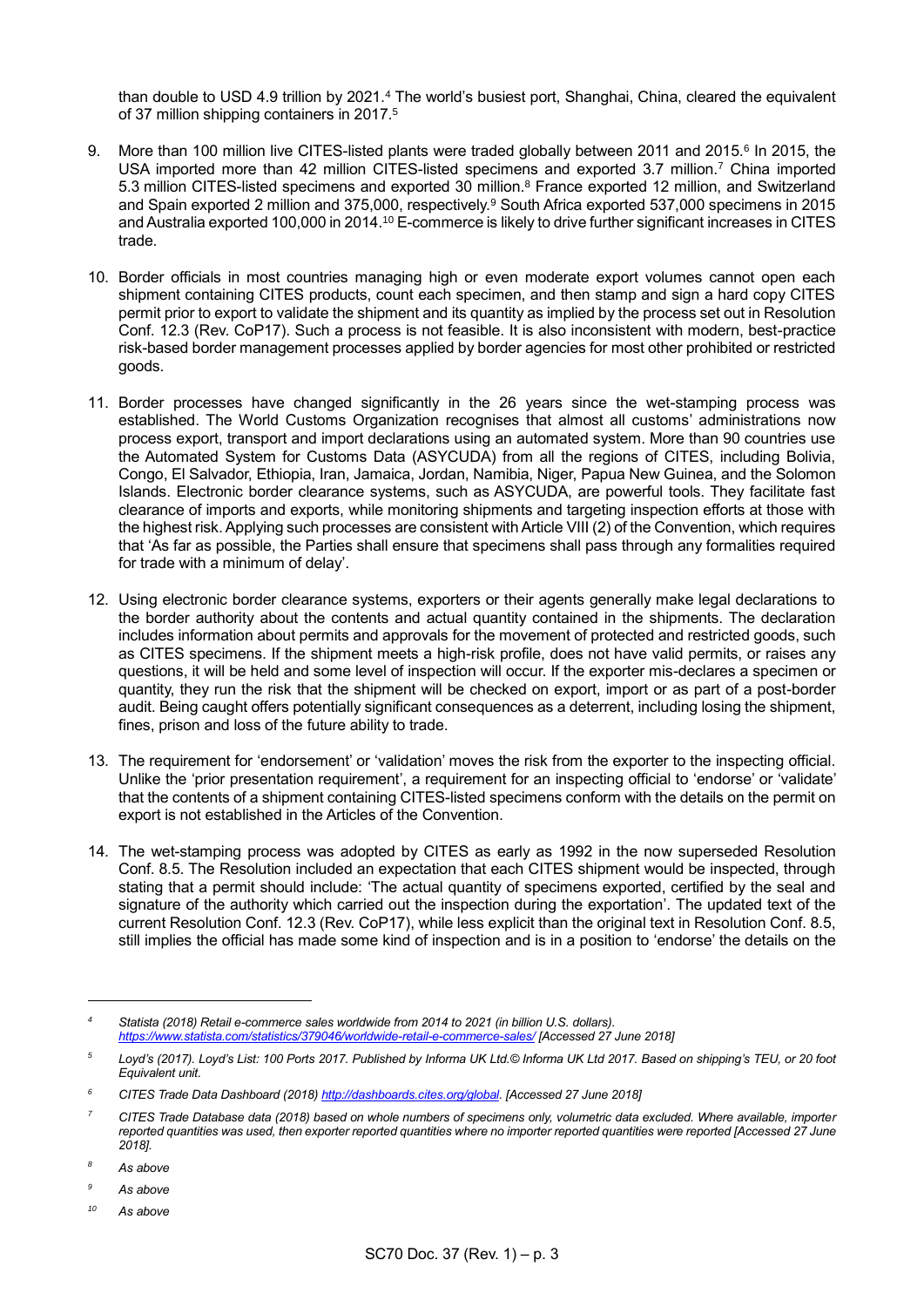than double to USD 4.9 trillion by 2021.<sup>4</sup> The world's busiest port, Shanghai, China, cleared the equivalent of 37 million shipping containers in 2017.<sup>5</sup>

- 9. More than 100 million live CITES-listed plants were traded globally between 2011 and 2015.<sup>6</sup> In 2015, the USA imported more than 42 million CITES-listed specimens and exported 3.7 million.<sup>7</sup> China imported 5.3 million CITES-listed specimens and exported 30 million.<sup>8</sup> France exported 12 million, and Switzerland and Spain exported 2 million and 375,000, respectively.<sup>9</sup> South Africa exported 537,000 specimens in 2015 and Australia exported 100,000 in 2014.<sup>10</sup> E-commerce is likely to drive further significant increases in CITES trade.
- 10. Border officials in most countries managing high or even moderate export volumes cannot open each shipment containing CITES products, count each specimen, and then stamp and sign a hard copy CITES permit prior to export to validate the shipment and its quantity as implied by the process set out in Resolution Conf. 12.3 (Rev. CoP17). Such a process is not feasible. It is also inconsistent with modern, best-practice risk-based border management processes applied by border agencies for most other prohibited or restricted goods.
- 11. Border processes have changed significantly in the 26 years since the wet-stamping process was established. The World Customs Organization recognises that almost all customs' administrations now process export, transport and import declarations using an automated system. More than 90 countries use the Automated System for Customs Data (ASYCUDA) from all the regions of CITES, including Bolivia, Congo, El Salvador, Ethiopia, Iran, Jamaica, Jordan, Namibia, Niger, Papua New Guinea, and the Solomon Islands. Electronic border clearance systems, such as ASYCUDA, are powerful tools. They facilitate fast clearance of imports and exports, while monitoring shipments and targeting inspection efforts at those with the highest risk. Applying such processes are consistent with Article VIII (2) of the Convention, which requires that 'As far as possible, the Parties shall ensure that specimens shall pass through any formalities required for trade with a minimum of delay'.
- 12. Using electronic border clearance systems, exporters or their agents generally make legal declarations to the border authority about the contents and actual quantity contained in the shipments. The declaration includes information about permits and approvals for the movement of protected and restricted goods, such as CITES specimens. If the shipment meets a high-risk profile, does not have valid permits, or raises any questions, it will be held and some level of inspection will occur. If the exporter mis-declares a specimen or quantity, they run the risk that the shipment will be checked on export, import or as part of a post-border audit. Being caught offers potentially significant consequences as a deterrent, including losing the shipment, fines, prison and loss of the future ability to trade.
- 13. The requirement for 'endorsement' or 'validation' moves the risk from the exporter to the inspecting official. Unlike the 'prior presentation requirement', a requirement for an inspecting official to 'endorse' or 'validate' that the contents of a shipment containing CITES-listed specimens conform with the details on the permit on export is not established in the Articles of the Convention.
- 14. The wet-stamping process was adopted by CITES as early as 1992 in the now superseded Resolution Conf. 8.5. The Resolution included an expectation that each CITES shipment would be inspected, through stating that a permit should include: 'The actual quantity of specimens exported, certified by the seal and signature of the authority which carried out the inspection during the exportation'. The updated text of the current Resolution Conf. 12.3 (Rev. CoP17), while less explicit than the original text in Resolution Conf. 8.5, still implies the official has made some kind of inspection and is in a position to 'endorse' the details on the

l

*<sup>4</sup> Statista (2018) Retail e-commerce sales worldwide from 2014 to 2021 (in billion U.S. dollars). <https://www.statista.com/statistics/379046/worldwide-retail-e-commerce-sales/> [Accessed 27 June 2018]*

*<sup>5</sup> Loyd's (2017). Loyd's List: 100 Ports 2017. Published by Informa UK Ltd.© Informa UK Ltd 2017. Based on shipping's TEU, or 20 foot Equivalent unit.* 

*<sup>6</sup> CITES Trade Data Dashboard (2018[\) http://dashboards.cites.org/global.](http://dashboards.cites.org/global) [Accessed 27 June 2018]*

*<sup>7</sup> CITES Trade Database data (2018) based on whole numbers of specimens only, volumetric data excluded. Where available, importer reported quantities was used, then exporter reported quantities where no importer reported quantities were reported [Accessed 27 June 2018].* 

*<sup>8</sup> As above*

*<sup>9</sup> As above*

*<sup>10</sup> As above*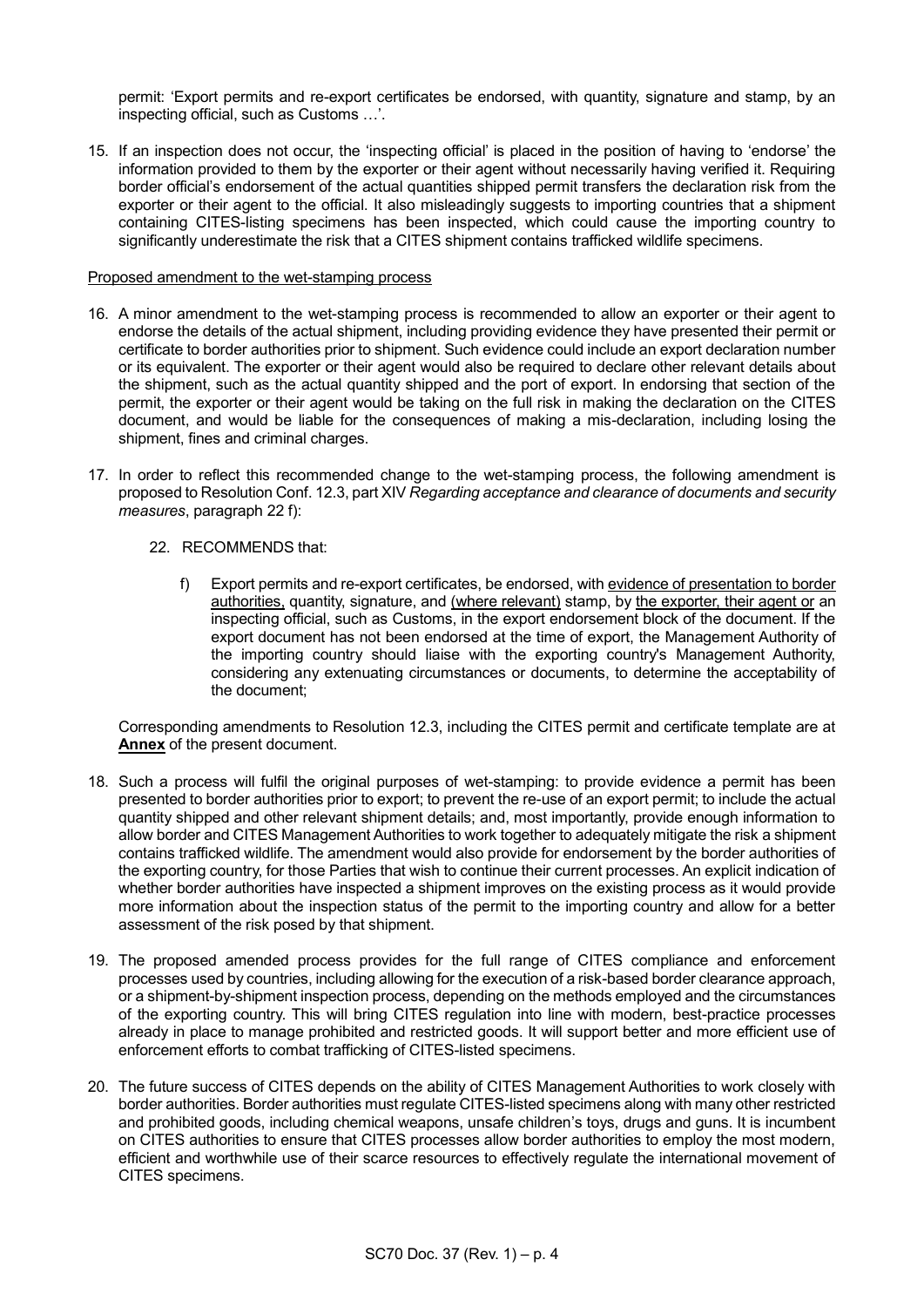permit: 'Export permits and re-export certificates be endorsed, with quantity, signature and stamp, by an inspecting official, such as Customs …'.

15. If an inspection does not occur, the 'inspecting official' is placed in the position of having to 'endorse' the information provided to them by the exporter or their agent without necessarily having verified it. Requiring border official's endorsement of the actual quantities shipped permit transfers the declaration risk from the exporter or their agent to the official. It also misleadingly suggests to importing countries that a shipment containing CITES-listing specimens has been inspected, which could cause the importing country to significantly underestimate the risk that a CITES shipment contains trafficked wildlife specimens.

#### Proposed amendment to the wet-stamping process

- 16. A minor amendment to the wet-stamping process is recommended to allow an exporter or their agent to endorse the details of the actual shipment, including providing evidence they have presented their permit or certificate to border authorities prior to shipment. Such evidence could include an export declaration number or its equivalent. The exporter or their agent would also be required to declare other relevant details about the shipment, such as the actual quantity shipped and the port of export. In endorsing that section of the permit, the exporter or their agent would be taking on the full risk in making the declaration on the CITES document, and would be liable for the consequences of making a mis-declaration, including losing the shipment, fines and criminal charges.
- 17. In order to reflect this recommended change to the wet-stamping process, the following amendment is proposed to Resolution Conf. 12.3, part XIV *Regarding acceptance and clearance of documents and security measures*, paragraph 22 f):
	- 22. RECOMMENDS that:
		- f) Export permits and re-export certificates, be endorsed, with evidence of presentation to border authorities, quantity, signature, and (where relevant) stamp, by the exporter, their agent or an inspecting official, such as Customs, in the export endorsement block of the document. If the export document has not been endorsed at the time of export, the Management Authority of the importing country should liaise with the exporting country's Management Authority, considering any extenuating circumstances or documents, to determine the acceptability of the document;

Corresponding amendments to Resolution 12.3, including the CITES permit and certificate template are at **Annex** of the present document.

- 18. Such a process will fulfil the original purposes of wet-stamping: to provide evidence a permit has been presented to border authorities prior to export; to prevent the re-use of an export permit; to include the actual quantity shipped and other relevant shipment details; and, most importantly, provide enough information to allow border and CITES Management Authorities to work together to adequately mitigate the risk a shipment contains trafficked wildlife. The amendment would also provide for endorsement by the border authorities of the exporting country, for those Parties that wish to continue their current processes. An explicit indication of whether border authorities have inspected a shipment improves on the existing process as it would provide more information about the inspection status of the permit to the importing country and allow for a better assessment of the risk posed by that shipment.
- 19. The proposed amended process provides for the full range of CITES compliance and enforcement processes used by countries, including allowing for the execution of a risk-based border clearance approach, or a shipment-by-shipment inspection process, depending on the methods employed and the circumstances of the exporting country. This will bring CITES regulation into line with modern, best-practice processes already in place to manage prohibited and restricted goods. It will support better and more efficient use of enforcement efforts to combat trafficking of CITES-listed specimens.
- 20. The future success of CITES depends on the ability of CITES Management Authorities to work closely with border authorities. Border authorities must regulate CITES-listed specimens along with many other restricted and prohibited goods, including chemical weapons, unsafe children's toys, drugs and guns. It is incumbent on CITES authorities to ensure that CITES processes allow border authorities to employ the most modern, efficient and worthwhile use of their scarce resources to effectively regulate the international movement of CITES specimens.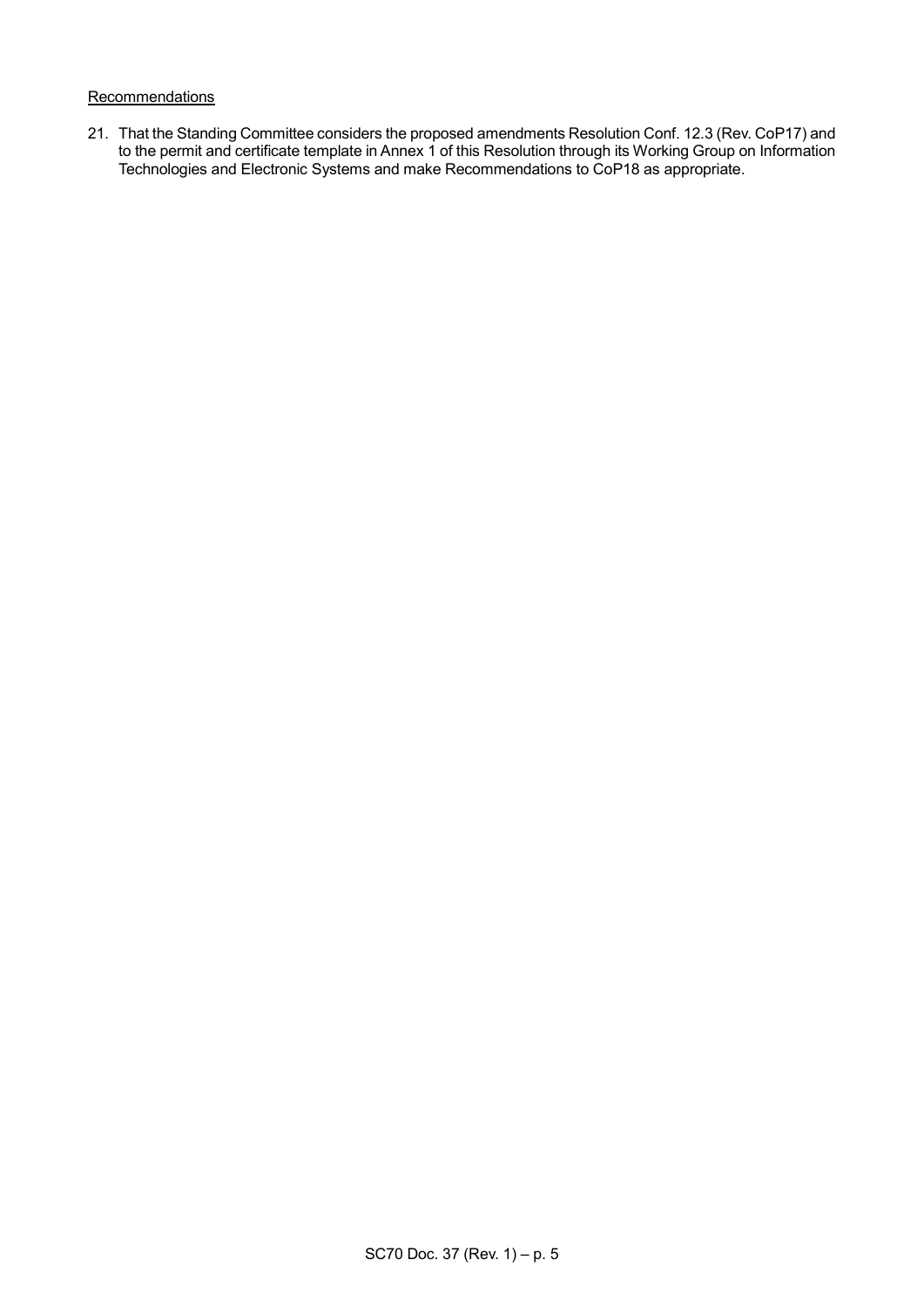#### Recommendations

21. That the Standing Committee considers the proposed amendments Resolution Conf. 12.3 (Rev. CoP17) and to the permit and certificate template in Annex 1 of this Resolution through its Working Group on Information Technologies and Electronic Systems and make Recommendations to CoP18 as appropriate.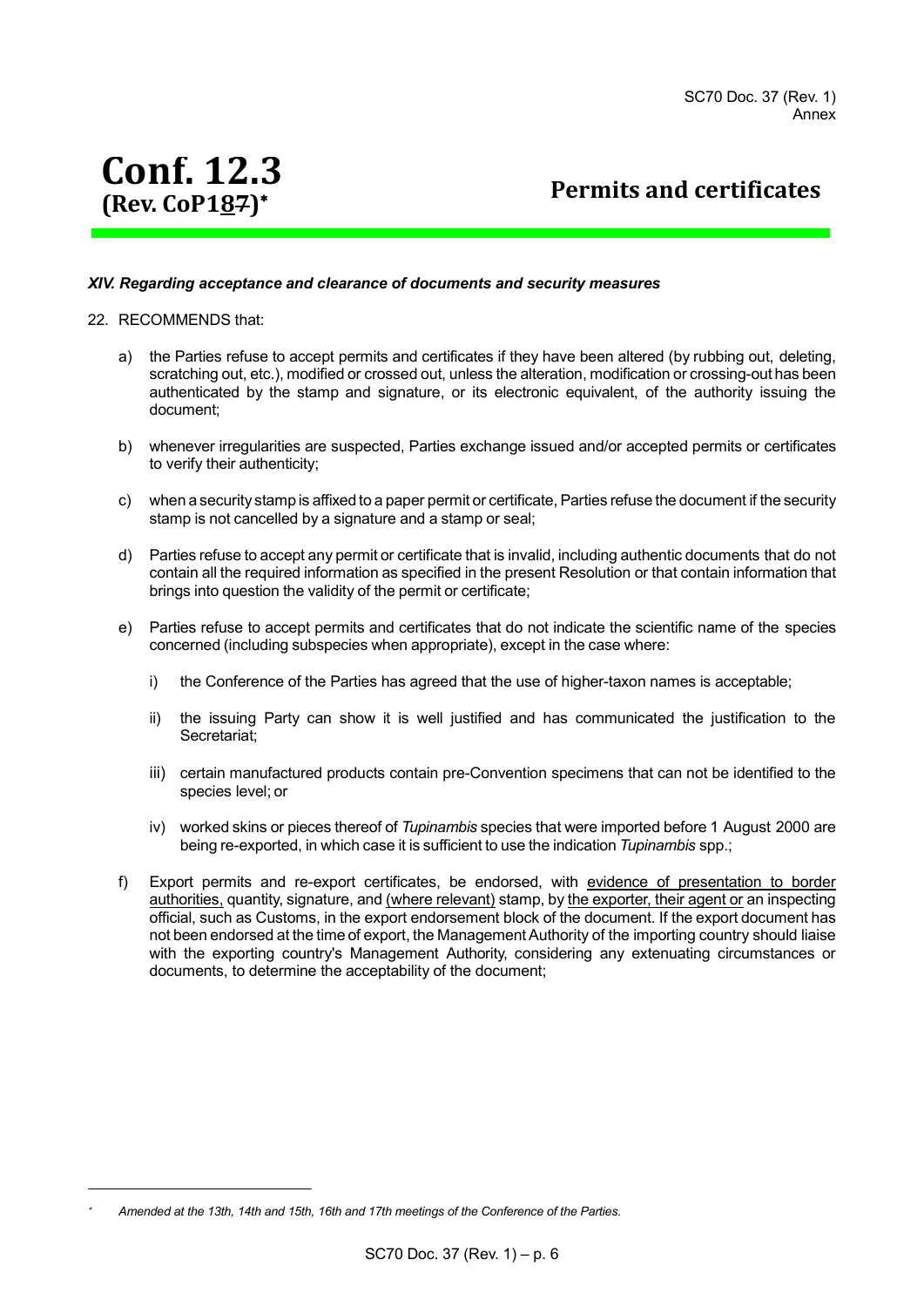# **Conf. 12.3 (Rev. CoP187)**

**Permits and certificates**

#### *XIV. Regarding acceptance and clearance of documents and security measures*

#### 22. RECOMMENDS that:

l ×

- a) the Parties refuse to accept permits and certificates if they have been altered (by rubbing out, deleting, scratching out, etc.), modified or crossed out, unless the alteration, modification or crossing-out has been authenticated by the stamp and signature, or its electronic equivalent, of the authority issuing the document;
- b) whenever irregularities are suspected, Parties exchange issued and/or accepted permits or certificates to verify their authenticity;
- c) when a security stamp is affixed to a paper permit or certificate, Parties refuse the document if the security stamp is not cancelled by a signature and a stamp or seal;
- d) Parties refuse to accept any permit or certificate that is invalid, including authentic documents that do not contain all the required information as specified in the present Resolution or that contain information that brings into question the validity of the permit or certificate;
- e) Parties refuse to accept permits and certificates that do not indicate the scientific name of the species concerned (including subspecies when appropriate), except in the case where:
	- i) the Conference of the Parties has agreed that the use of higher-taxon names is acceptable;
	- ii) the issuing Party can show it is well justified and has communicated the justification to the Secretariat;
	- iii) certain manufactured products contain pre-Convention specimens that can not be identified to the species level; or
	- iv) worked skins or pieces thereof of *Tupinambis* species that were imported before 1 August 2000 are being re-exported, in which case it is sufficient to use the indication *Tupinambis* spp.;
- f) Export permits and re-export certificates, be endorsed, with evidence of presentation to border authorities, quantity, signature, and (where relevant) stamp, by the exporter, their agent or an inspecting official, such as Customs, in the export endorsement block of the document. If the export document has not been endorsed at the time of export, the Management Authority of the importing country should liaise with the exporting country's Management Authority, considering any extenuating circumstances or documents, to determine the acceptability of the document;

*Amended at the 13th, 14th and 15th, 16th and 17th meetings of the Conference of the Parties.*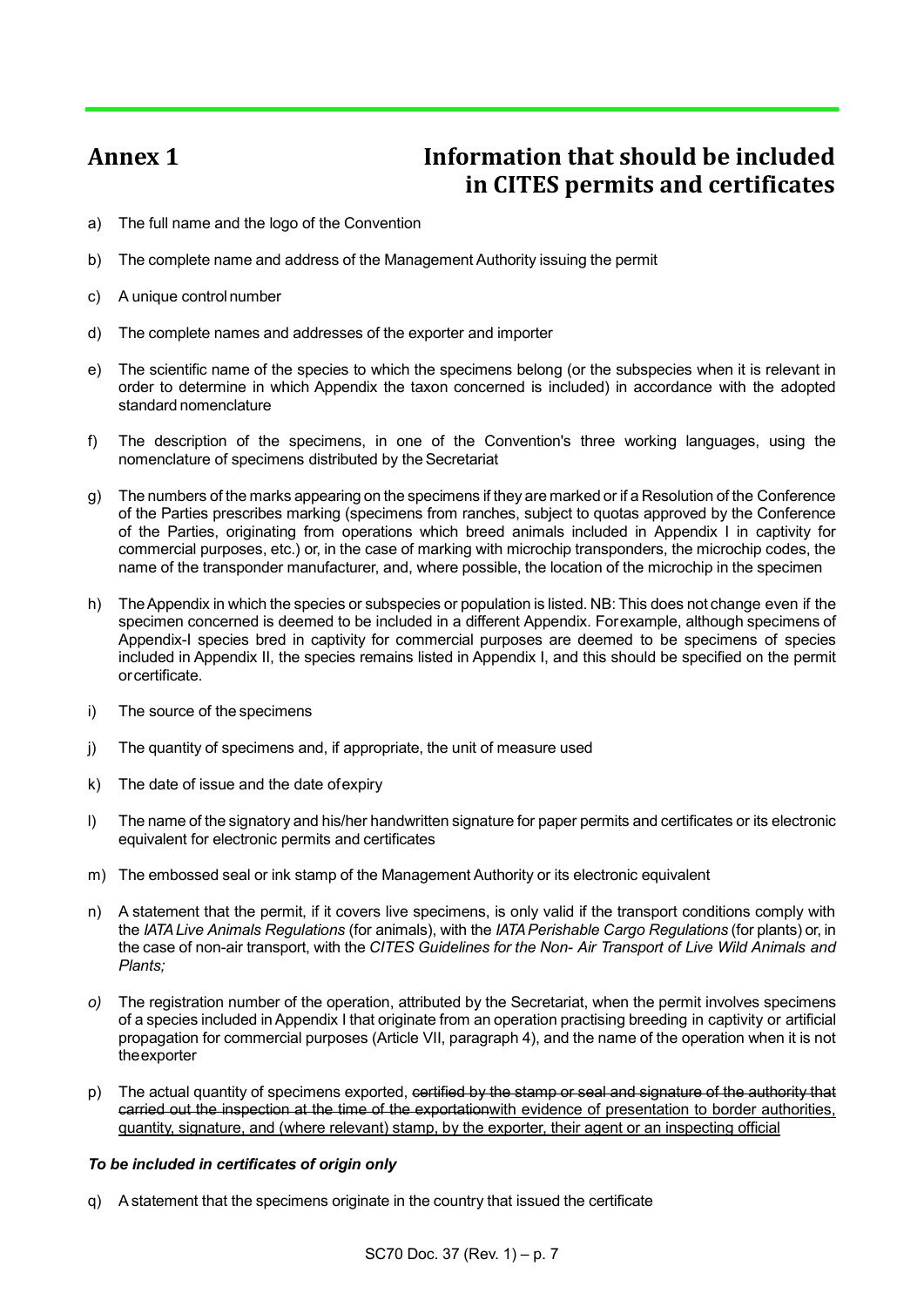## **Annex 1 Information that should be included in CITES permits and certificates**

- a) The full name and the logo of the Convention
- b) The complete name and address of the Management Authority issuing the permit
- c) A unique control number
- d) The complete names and addresses of the exporter and importer
- e) The scientific name of the species to which the specimens belong (or the subspecies when it is relevant in order to determine in which Appendix the taxon concerned is included) in accordance with the adopted standard nomenclature
- f) The description of the specimens, in one of the Convention's three working languages, using the nomenclature of specimens distributed by the Secretariat
- g) The numbers of the marks appearing on the specimens if they are marked or if a Resolution of the Conference of the Parties prescribes marking (specimens from ranches, subject to quotas approved by the Conference of the Parties, originating from operations which breed animals included in Appendix I in captivity for commercial purposes, etc.) or, in the case of marking with microchip transponders, the microchip codes, the name of the transponder manufacturer, and, where possible, the location of the microchip in the specimen
- h) TheAppendix in which the species or subspecies or population is listed. NB: This does not change even if the specimen concerned is deemed to be included in a different Appendix. Forexample, although specimens of Appendix-I species bred in captivity for commercial purposes are deemed to be specimens of species included in Appendix II, the species remains listed in Appendix I, and this should be specified on the permit orcertificate.
- i) The source of the specimens
- j) The quantity of specimens and, if appropriate, the unit of measure used
- k) The date of issue and the date ofexpiry
- l) The name of the signatory and his/her handwritten signature for paper permits and certificates or its electronic equivalent for electronic permits and certificates
- m) The embossed seal or ink stamp of the Management Authority or its electronic equivalent
- n) A statement that the permit, if it covers live specimens, is only valid if the transport conditions comply with the *IATA Live Animals Regulations* (for animals), with the *IATA Perishable Cargo Regulations* (for plants) or, in the case of non-air transport, with the *CITES Guidelines for the Non- Air Transport of Live Wild Animals and Plants;*
- *o)* The registration number of the operation, attributed by the Secretariat, when the permit involves specimens of a species included in Appendix I that originate from an operation practising breeding in captivity or artificial propagation for commercial purposes (Article VII, paragraph 4), and the name of the operation when it is not theexporter
- p) The actual quantity of specimens exported, certified by the stamp or seal and signature of the authority that carried out the inspection at the time of the exportationwith evidence of presentation to border authorities, quantity, signature, and (where relevant) stamp, by the exporter, their agent or an inspecting official

#### *To be included in certificates of origin only*

q) Astatement that the specimens originate in the country that issued the certificate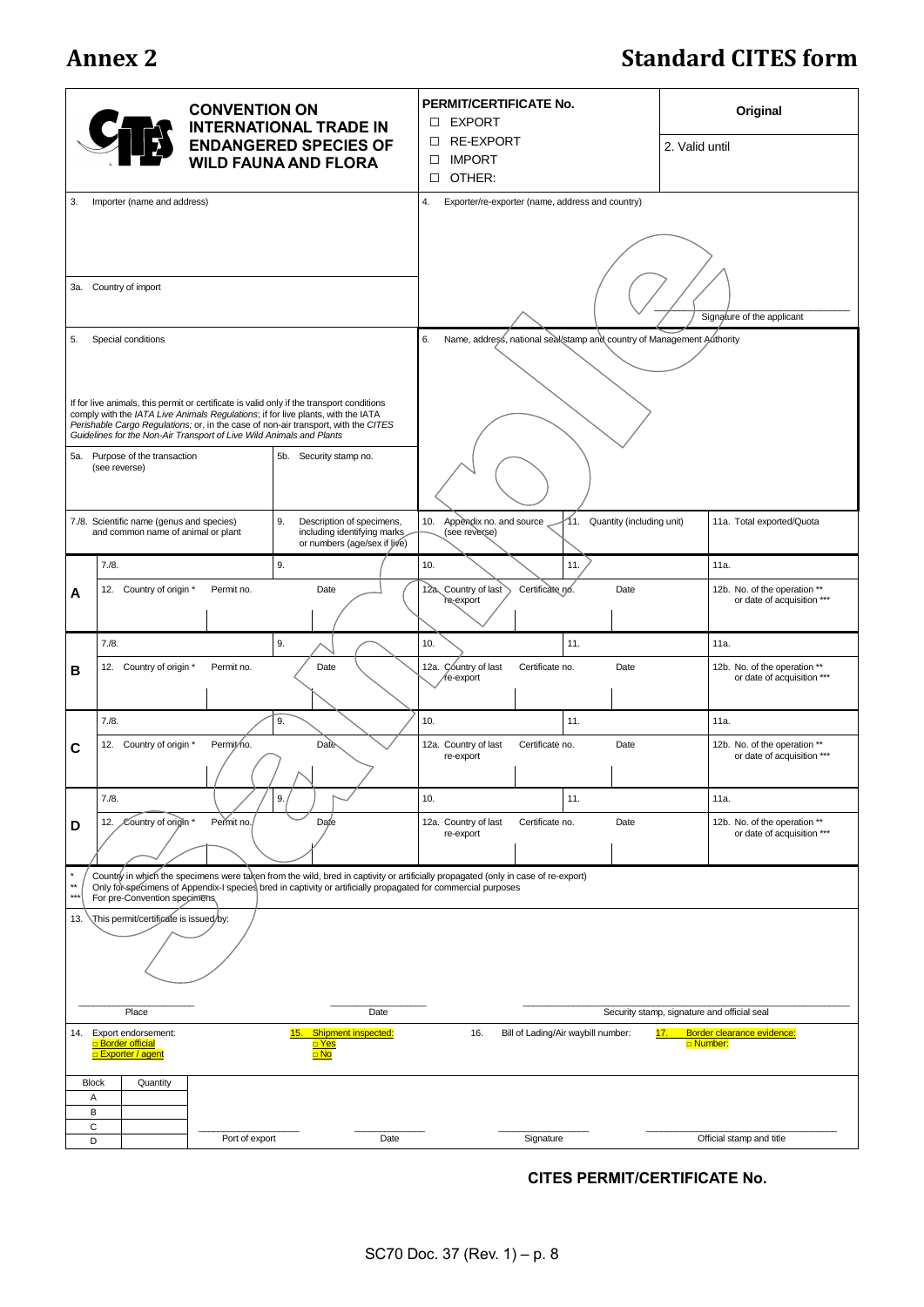## **Annex 2 Standard CITES form**

|                                                                                                                                                                                                                                                                                                     |                                                                                 | <b>CONVENTION ON</b> | <b>INTERNATIONAL TRADE IN</b><br><b>ENDANGERED SPECIES OF</b><br><b>WILD FAUNA AND FLORA</b>                                                                           | PERMIT/CERTIFICATE No.<br><b>D</b> EXPORT<br>RE-EXPORT<br>$\Box$<br><b>IMPORT</b><br>□<br>OTHER:<br>$\Box$ |                                           |                               | Original<br>2. Valid until                                 |
|-----------------------------------------------------------------------------------------------------------------------------------------------------------------------------------------------------------------------------------------------------------------------------------------------------|---------------------------------------------------------------------------------|----------------------|------------------------------------------------------------------------------------------------------------------------------------------------------------------------|------------------------------------------------------------------------------------------------------------|-------------------------------------------|-------------------------------|------------------------------------------------------------|
| Importer (name and address)<br>3.                                                                                                                                                                                                                                                                   |                                                                                 |                      |                                                                                                                                                                        | 4.<br>Exporter/re-exporter (name, address and country)                                                     |                                           |                               |                                                            |
| 3a. Country of import                                                                                                                                                                                                                                                                               |                                                                                 |                      |                                                                                                                                                                        |                                                                                                            |                                           |                               |                                                            |
|                                                                                                                                                                                                                                                                                                     |                                                                                 |                      |                                                                                                                                                                        | Signature of the applicant                                                                                 |                                           |                               |                                                            |
| 5.                                                                                                                                                                                                                                                                                                  | Special conditions                                                              |                      | If for live animals, this permit or certificate is valid only if the transport conditions                                                                              | 6.<br>Name, address, national seal/stamp and country of Management Authority                               |                                           |                               |                                                            |
|                                                                                                                                                                                                                                                                                                     | Guidelines for the Non-Air Transport of Live Wild Animals and Plants            |                      | comply with the IATA Live Animals Regulations; if for live plants, with the IATA<br>Perishable Cargo Regulations; or, in the case of non-air transport, with the CITES |                                                                                                            |                                           |                               |                                                            |
|                                                                                                                                                                                                                                                                                                     | 5a. Purpose of the transaction<br>(see reverse)                                 |                      | 5b. Security stamp no.                                                                                                                                                 |                                                                                                            |                                           |                               |                                                            |
|                                                                                                                                                                                                                                                                                                     | 7./8. Scientific name (genus and species)<br>and common name of animal or plant |                      | 9.<br>Description of specimens,<br>including identifying marks<br>or numbers (age/sex if live)                                                                         | 10. Appendix no. and source<br>(see reverse)                                                               |                                           | 11. Quantity (including unit) | 11a. Total exported/Quota                                  |
|                                                                                                                                                                                                                                                                                                     | 7. / 8.                                                                         |                      | 9.                                                                                                                                                                     | 10.                                                                                                        |                                           | 11.                           | 11a.                                                       |
| A                                                                                                                                                                                                                                                                                                   | 12. Country of origin *                                                         | Permit no.           | Date                                                                                                                                                                   | 12a Country of last<br>re-export                                                                           | Certificate no.                           | Date                          | 12b. No. of the operation **<br>or date of acquisition *** |
|                                                                                                                                                                                                                                                                                                     | 7. / 8.                                                                         |                      | 9.                                                                                                                                                                     | 10.                                                                                                        |                                           | 11.                           | 11a.                                                       |
| в                                                                                                                                                                                                                                                                                                   | 12. Country of origin *                                                         | Permit no.           | Date                                                                                                                                                                   | 12a. Country of last<br>re-export                                                                          | Certificate no.                           | Date                          | 12b. No. of the operation **<br>or date of acquisition *** |
|                                                                                                                                                                                                                                                                                                     | 7. / 8.                                                                         |                      | 9.                                                                                                                                                                     | 10.                                                                                                        |                                           | 11.                           | 11a.                                                       |
| С                                                                                                                                                                                                                                                                                                   | 12. Country of origin *                                                         | Permit/no.           | Date                                                                                                                                                                   | 12a. Country of last<br>re-export                                                                          | Certificate no.                           | Date                          | 12b. No. of the operation **<br>or date of acquisition *** |
|                                                                                                                                                                                                                                                                                                     | 7. / 8.                                                                         |                      | 9.                                                                                                                                                                     | 10.                                                                                                        |                                           | 11.                           | 11a.                                                       |
| D                                                                                                                                                                                                                                                                                                   | Country of origin *<br>12.                                                      | Permit no.           | Date                                                                                                                                                                   | 12a. Country of last<br>re-export                                                                          | Certificate no.                           | Date                          | 12b. No. of the operation **<br>or date of acquisition *** |
| Country in which the specimens were taken from the wild, bred in captivity or artificially propagated (only in case of re-export)<br>$\star\star$<br>Only for specimens of Appendix-I species bred in captivity or artificially propagated for commercial purposes<br>For pre-Convention specimens, |                                                                                 |                      |                                                                                                                                                                        |                                                                                                            |                                           |                               |                                                            |
| This permit/certificate is issued/by:<br>13.                                                                                                                                                                                                                                                        |                                                                                 |                      |                                                                                                                                                                        |                                                                                                            |                                           |                               |                                                            |
|                                                                                                                                                                                                                                                                                                     | Place<br>Date                                                                   |                      |                                                                                                                                                                        | Security stamp, signature and official seal                                                                |                                           |                               |                                                            |
| 14. Export endorsement:<br><b>Border official</b><br><b>Exporter / agent</b>                                                                                                                                                                                                                        |                                                                                 |                      | <b>Shipment inspected:</b><br>15.<br>□ Yes<br>$\Box$ No                                                                                                                | 16.                                                                                                        | Bill of Lading/Air waybill number:<br>17. |                               | Border clearance evidence:<br>D Number:                    |
| <b>Block</b><br>Α<br>В                                                                                                                                                                                                                                                                              | Quantity                                                                        |                      |                                                                                                                                                                        |                                                                                                            |                                           |                               |                                                            |
| $\mathbf C$<br>D                                                                                                                                                                                                                                                                                    |                                                                                 | Port of export       | Date                                                                                                                                                                   |                                                                                                            | Signature                                 |                               | Official stamp and title                                   |

### **CITES PERMIT/CERTIFICATE No.**